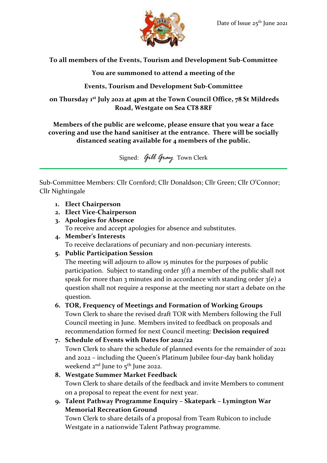

**To all members of the Events, Tourism and Development Sub-Committee**

**You are summoned to attend a meeting of the**

**Events, Tourism and Development Sub-Committee**

**on Thursday 1 st July 2021 at 4pm at the Town Council Office, 78 St Mildreds Road, Westgate on Sea CT8 8RF**

## **Members of the public are welcome, please ensure that you wear a face covering and use the hand sanitiser at the entrance. There will be socially distanced seating available for 4 members of the public.**

Signed: *Gill Gray* Town Clerk

Sub-Committee Members: Cllr Cornford; Cllr Donaldson; Cllr Green; Cllr O'Connor; Cllr Nightingale

- **1. Elect Chairperson**
- **2. Elect Vice-Chairperson**
- **3. Apologies for Absence** To receive and accept apologies for absence and substitutes.
- **4. Member's Interests** To receive declarations of pecuniary and non-pecuniary interests.
- **5. Public Participation Session**

The meeting will adjourn to allow 15 minutes for the purposes of public participation. Subject to standing order 3(f) a member of the public shall not speak for more than 3 minutes and in accordance with standing order  $3(e)$  a question shall not require a response at the meeting nor start a debate on the question.

## **6. TOR, Frequency of Meetings and Formation of Working Groups**

Town Clerk to share the revised draft TOR with Members following the Full Council meeting in June. Members invited to feedback on proposals and recommendation formed for next Council meeting: **Decision required**

```
7. Schedule of Events with Dates for 2021/22
   Town Clerk to share the schedule of planned events for the remainder of 2021 
   and 2022 – including the Queen's Platinum Jubilee four-day bank holiday 
   weekend 2^{nd} June to 5^{th} June 2022.
8. Westgate Summer Market Feedback
```

```
Town Clerk to share details of the feedback and invite Members to comment 
on a proposal to repeat the event for next year.
```
**9. Talent Pathway Programme Enquiry – Skatepark – Lymington War Memorial Recreation Ground**

Town Clerk to share details of a proposal from Team Rubicon to include Westgate in a nationwide Talent Pathway programme.